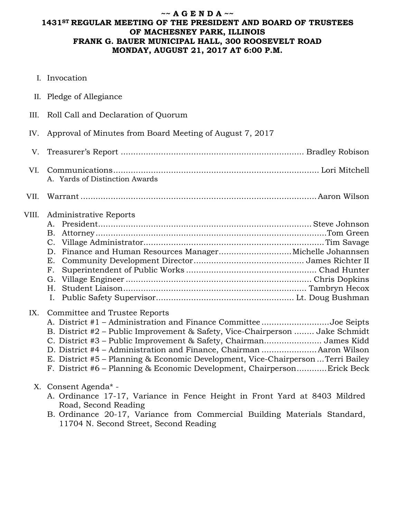### **~~ A G E N D A ~~ 1431ST REGULAR MEETING OF THE PRESIDENT AND BOARD OF TRUSTEES OF MACHESNEY PARK, ILLINOIS FRANK G. BAUER MUNICIPAL HALL, 300 ROOSEVELT ROAD MONDAY, AUGUST 21, 2017 AT 6:00 P.M.**

- I. Invocation
- II. Pledge of Allegiance
- III. Roll Call and Declaration of Quorum

A. Yards of Distinction Awards

IV. Approval of Minutes from Board Meeting of August 7, 2017

V. Treasurer's Report ......................................................................... Bradley Robison VI. Communications.................................................................................. Lori Mitchell

VII. Warrant ..............................................................................................Aaron Wilson

### VIII. Administrative Reports

### IX. Committee and Trustee Reports

| A. District #1 – Administration and Finance CommitteeJoe Seipts                  |  |
|----------------------------------------------------------------------------------|--|
| B. District #2 – Public Improvement & Safety, Vice-Chairperson  Jake Schmidt     |  |
| C. District #3 – Public Improvement & Safety, Chairman James Kidd                |  |
| D. District #4 - Administration and Finance, Chairman  Aaron Wilson              |  |
| E. District #5 – Planning & Economic Development, Vice-Chairperson  Terri Bailey |  |
| F. District #6 – Planning & Economic Development, Chairperson Erick Beck         |  |
|                                                                                  |  |

# X. Consent Agenda\* -

- A. Ordinance 17-17, Variance in Fence Height in Front Yard at 8403 Mildred Road, Second Reading
- B. Ordinance 20-17, Variance from Commercial Building Materials Standard, 11704 N. Second Street, Second Reading